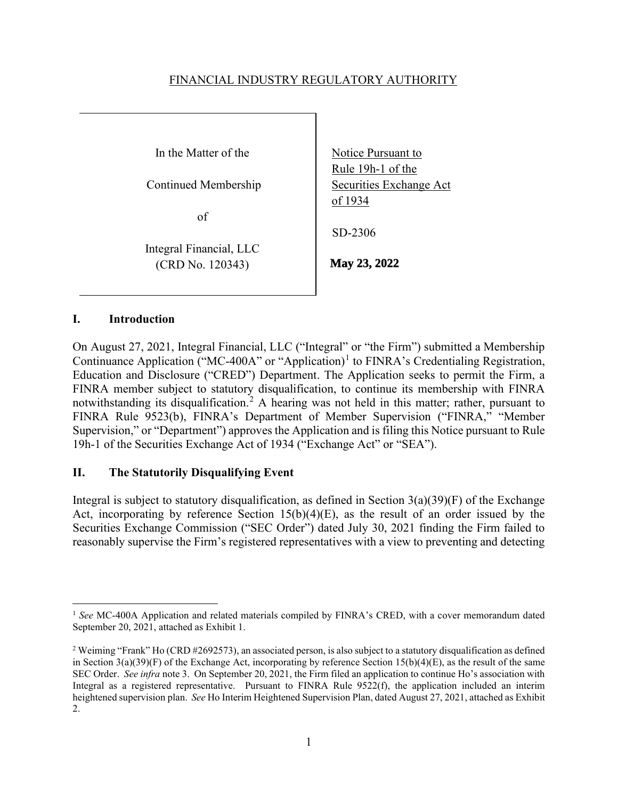### FINANCIAL INDUSTRY REGULATORY AUTHORITY

In the Matter of the

Continued Membership

of

Integral Financial, LLC (CRD No. 120343)

Notice Pursuant to Rule 19h-1 of the Securities Exchange Act of 1934

SD-2306

**May 23, 2022**

### **I. Introduction**

On August 27, 2021, Integral Financial, LLC ("Integral" or "the Firm") submitted a Membership Continuance Application ("MC-400A" or "Application)<sup>1</sup> to FINRA's Credentialing Registration, Education and Disclosure ("CRED") Department. The Application seeks to permit the Firm, a FINRA member subject to statutory disqualification, to continue its membership with FINRA notwithstanding its disqualification.<sup>2</sup> A hearing was not held in this matter; rather, pursuant to FINRA Rule 9523(b), FINRA's Department of Member Supervision ("FINRA," "Member Supervision," or "Department") approves the Application and is filing this Notice pursuant to Rule 19h-1 of the Securities Exchange Act of 1934 ("Exchange Act" or "SEA").

## **II. The Statutorily Disqualifying Event**

Integral is subject to statutory disqualification, as defined in Section  $3(a)(39)(F)$  of the Exchange Act, incorporating by reference Section  $15(b)(4)(E)$ , as the result of an order issued by the Securities Exchange Commission ("SEC Order") dated July 30, 2021 finding the Firm failed to reasonably supervise the Firm's registered representatives with a view to preventing and detecting

<sup>&</sup>lt;sup>1</sup> See MC-400A Application and related materials compiled by FINRA's CRED, with a cover memorandum dated September 20, 2021, attached as Exhibit 1.

<sup>&</sup>lt;sup>2</sup> Weiming "Frank" Ho (CRD #2692573), an associated person, is also subject to a statutory disqualification as defined in Section  $3(a)(39)(F)$  of the Exchange Act, incorporating by reference Section  $15(b)(4)(E)$ , as the result of the same SEC Order. *See infra* note 3. On September 20, 2021, the Firm filed an application to continue Ho's association with Integral as a registered representative. Pursuant to FINRA Rule 9522(f), the application included an interim heightened supervision plan. *See* Ho Interim Heightened Supervision Plan, dated August 27, 2021, attached as Exhibit 2.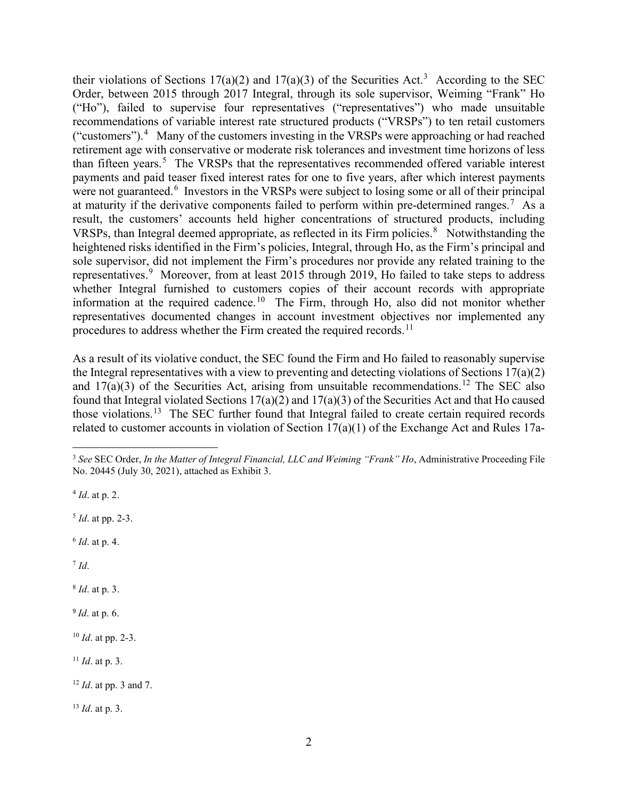their violations of Sections 17(a)(2) and 17(a)(3) of the Securities Act.<sup>3</sup> According to the SEC Order, between 2015 through 2017 Integral, through its sole supervisor, Weiming "Frank" Ho ("Ho"), failed to supervise four representatives ("representatives") who made unsuitable recommendations of variable interest rate structured products ("VRSPs") to ten retail customers ("customers"). $4$  Many of the customers investing in the VRSPs were approaching or had reached retirement age with conservative or moderate risk tolerances and investment time horizons of less than fifteen years.<sup>5</sup> The VRSPs that the representatives recommended offered variable interest payments and paid teaser fixed interest rates for one to five years, after which interest payments were not guaranteed.<sup>6</sup> Investors in the VRSPs were subject to losing some or all of their principal at maturity if the derivative components failed to perform within pre-determined ranges.<sup>7</sup> As a result, the customers' accounts held higher concentrations of structured products, including VRSPs, than Integral deemed appropriate, as reflected in its Firm policies. $8$  Notwithstanding the heightened risks identified in the Firm's policies, Integral, through Ho, as the Firm's principal and sole supervisor, did not implement the Firm's procedures nor provide any related training to the representatives.<sup>9</sup> Moreover, from at least 2015 through 2019, Ho failed to take steps to address whether Integral furnished to customers copies of their account records with appropriate information at the required cadence.<sup>10</sup> The Firm, through Ho, also did not monitor whether representatives documented changes in account investment objectives nor implemented any procedures to address whether the Firm created the required records.<sup>11</sup>

As a result of its violative conduct, the SEC found the Firm and Ho failed to reasonably supervise the Integral representatives with a view to preventing and detecting violations of Sections 17(a)(2) and  $17(a)(3)$  of the Securities Act, arising from unsuitable recommendations.<sup>12</sup> The SEC also found that Integral violated Sections  $17(a)(2)$  and  $17(a)(3)$  of the Securities Act and that Ho caused those violations.13 The SEC further found that Integral failed to create certain required records related to customer accounts in violation of Section 17(a)(1) of the Exchange Act and Rules 17a-

<sup>4</sup> *Id*. at p. 2.

<sup>5</sup> *Id*. at pp. 2-3.

<sup>6</sup> *Id*. at p. 4.

 $^7$  *Id*.

<sup>8</sup> *Id*. at p. 3.

<sup>9</sup> *Id*. at p. 6.

<sup>10</sup> *Id*. at pp. 2-3.

<sup>11</sup> *Id*. at p. 3.

<sup>12</sup> *Id*. at pp. 3 and 7.

<sup>13</sup> *Id*. at p. 3.

<sup>3</sup> *See* SEC Order, *In the Matter of Integral Financial, LLC and Weiming "Frank" Ho*, Administrative Proceeding File No. 20445 (July 30, 2021), attached as Exhibit 3.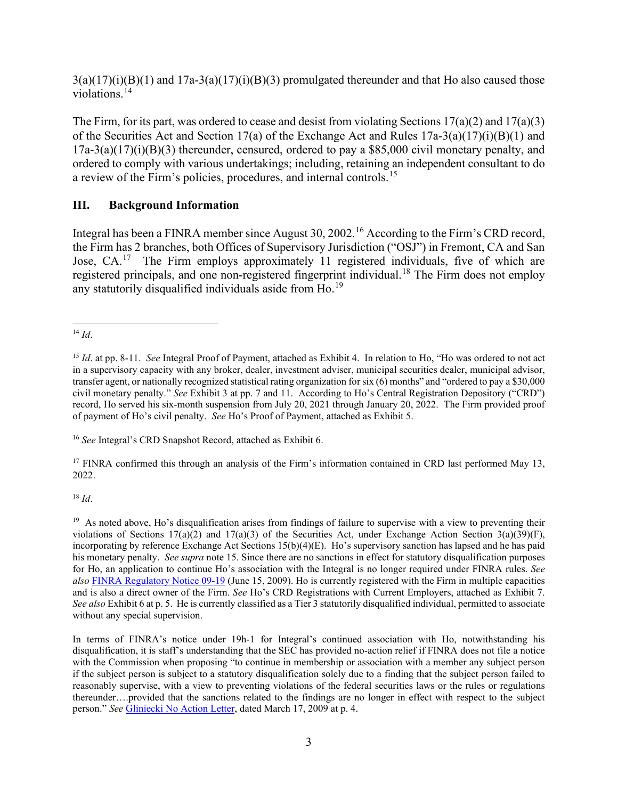$3(a)(17)(i)(B)(1)$  and  $17a-3(a)(17)(i)(B)(3)$  promulgated thereunder and that Ho also caused those violations.<sup>14</sup>

The Firm, for its part, was ordered to cease and desist from violating Sections 17(a)(2) and 17(a)(3) of the Securities Act and Section 17(a) of the Exchange Act and Rules 17a-3(a)(17)(i)(B)(1) and  $17a-3(a)(17)(i)(B)(3)$  thereunder, censured, ordered to pay a \$85,000 civil monetary penalty, and ordered to comply with various undertakings; including, retaining an independent consultant to do a review of the Firm's policies, procedures, and internal controls.<sup>15</sup>

## **III. Background Information**

Integral has been a FINRA member since August 30, 2002.<sup>16</sup> According to the Firm's CRD record, the Firm has 2 branches, both Offices of Supervisory Jurisdiction ("OSJ") in Fremont, CA and San Jose, CA.<sup>17</sup> The Firm employs approximately 11 registered individuals, five of which are registered principals, and one non-registered fingerprint individual.<sup>18</sup> The Firm does not employ any statutorily disqualified individuals aside from Ho.<sup>19</sup>

<sup>16</sup> *See* Integral's CRD Snapshot Record, attached as Exhibit 6.

<sup>17</sup> FINRA confirmed this through an analysis of the Firm's information contained in CRD last performed May 13, 2022.

<sup>18</sup> *Id*.

<sup>19</sup> As noted above, Ho's disqualification arises from findings of failure to supervise with a view to preventing their violations of Sections  $17(a)(2)$  and  $17(a)(3)$  of the Securities Act, under Exchange Action Section 3(a)(39)(F), incorporating by reference Exchange Act Sections 15(b)(4)(E). Ho's supervisory sanction has lapsed and he has paid his monetary penalty. *See supra* note 15. Since there are no sanctions in effect for statutory disqualification purposes for Ho, an application to continue Ho's association with the Integral is no longer required under FINRA rules. *See also* [FINRA Regulatory Notice 09-19](https://www.finra.org/sites/default/%20files/NoticeDocument%20/p118466.pdf) (June 15, 2009). Ho is currently registered with the Firm in multiple capacities and is also a direct owner of the Firm. *See* Ho's CRD Registrations with Current Employers, attached as Exhibit 7. *See also* Exhibit 6 at p. 5. He is currently classified as a Tier 3 statutorily disqualified individual, permitted to associate without any special supervision.

In terms of FINRA's notice under 19h-1 for Integral's continued association with Ho, notwithstanding his disqualification, it is staff's understanding that the SEC has provided no-action relief if FINRA does not file a notice with the Commission when proposing "to continue in membership or association with a member any subject person if the subject person is subject to a statutory disqualification solely due to a finding that the subject person failed to reasonably supervise, with a view to preventing violations of the federal securities laws or the rules or regulations thereunder….provided that the sanctions related to the findings are no longer in effect with respect to the subject person." *See* [Gliniecki No Action Letter,](https://www.sec.gov/divisions/marketreg/mr-noaction/2009/finra031709.pdf) dated March 17, 2009 at p. 4.

<sup>14</sup> *Id*.

<sup>&</sup>lt;sup>15</sup> *Id.* at pp. 8-11. *See* Integral Proof of Payment, attached as Exhibit 4. In relation to Ho, "Ho was ordered to not act in a supervisory capacity with any broker, dealer, investment adviser, municipal securities dealer, municipal advisor, transfer agent, or nationally recognized statistical rating organization for six (6) months" and "ordered to pay a \$30,000 civil monetary penalty." *See* Exhibit 3 at pp. 7 and 11. According to Ho's Central Registration Depository ("CRD") record, Ho served his six-month suspension from July 20, 2021 through January 20, 2022. The Firm provided proof of payment of Ho's civil penalty. *See* Ho's Proof of Payment, attached as Exhibit 5.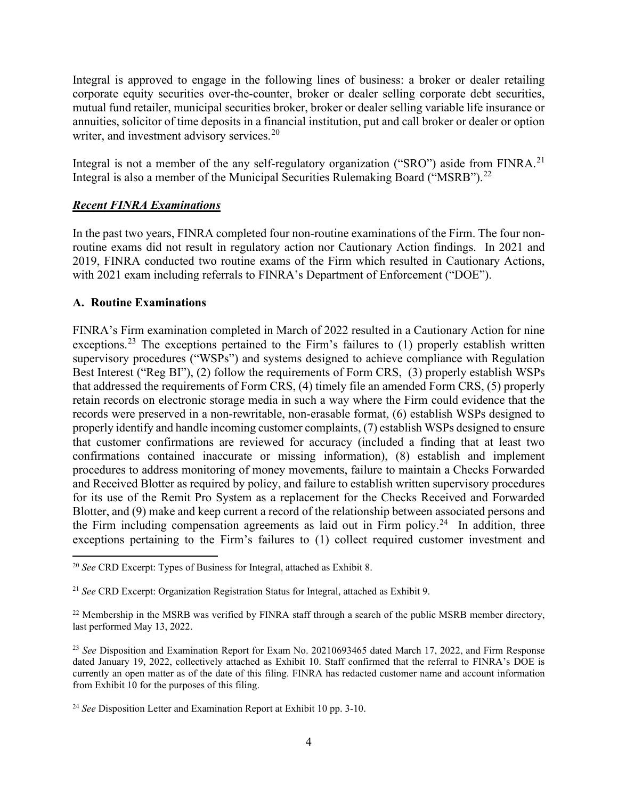Integral is approved to engage in the following lines of business: a broker or dealer retailing corporate equity securities over-the-counter, broker or dealer selling corporate debt securities, mutual fund retailer, municipal securities broker, broker or dealer selling variable life insurance or annuities, solicitor of time deposits in a financial institution, put and call broker or dealer or option writer, and investment advisory services.<sup>20</sup>

Integral is not a member of the any self-regulatory organization ("SRO") aside from FINRA.<sup>21</sup> Integral is also a member of the Municipal Securities Rulemaking Board ("MSRB").<sup>22</sup>

## *Recent FINRA Examinations*

In the past two years, FINRA completed four non-routine examinations of the Firm. The four nonroutine exams did not result in regulatory action nor Cautionary Action findings. In 2021 and 2019, FINRA conducted two routine exams of the Firm which resulted in Cautionary Actions, with 2021 exam including referrals to FINRA's Department of Enforcement ("DOE").

#### **A. Routine Examinations**

FINRA's Firm examination completed in March of 2022 resulted in a Cautionary Action for nine exceptions.<sup>23</sup> The exceptions pertained to the Firm's failures to  $(1)$  properly establish written supervisory procedures ("WSPs") and systems designed to achieve compliance with Regulation Best Interest ("Reg BI"), (2) follow the requirements of Form CRS, (3) properly establish WSPs that addressed the requirements of Form CRS, (4) timely file an amended Form CRS, (5) properly retain records on electronic storage media in such a way where the Firm could evidence that the records were preserved in a non-rewritable, non-erasable format, (6) establish WSPs designed to properly identify and handle incoming customer complaints, (7) establish WSPs designed to ensure that customer confirmations are reviewed for accuracy (included a finding that at least two confirmations contained inaccurate or missing information), (8) establish and implement procedures to address monitoring of money movements, failure to maintain a Checks Forwarded and Received Blotter as required by policy, and failure to establish written supervisory procedures for its use of the Remit Pro System as a replacement for the Checks Received and Forwarded Blotter, and (9) make and keep current a record of the relationship between associated persons and the Firm including compensation agreements as laid out in Firm policy.<sup>24</sup> In addition, three exceptions pertaining to the Firm's failures to (1) collect required customer investment and

<sup>20</sup> *See* CRD Excerpt: Types of Business for Integral, attached as Exhibit 8.

<sup>21</sup> *See* CRD Excerpt: Organization Registration Status for Integral, attached as Exhibit 9.

 $22$  Membership in the MSRB was verified by FINRA staff through a search of the public MSRB member directory, last performed May 13, 2022.

<sup>&</sup>lt;sup>23</sup> See Disposition and Examination Report for Exam No. 20210693465 dated March 17, 2022, and Firm Response dated January 19, 2022, collectively attached as Exhibit 10. Staff confirmed that the referral to FINRA's DOE is currently an open matter as of the date of this filing. FINRA has redacted customer name and account information from Exhibit 10 for the purposes of this filing.

<sup>24</sup> *See* Disposition Letter and Examination Report at Exhibit 10 pp. 3-10.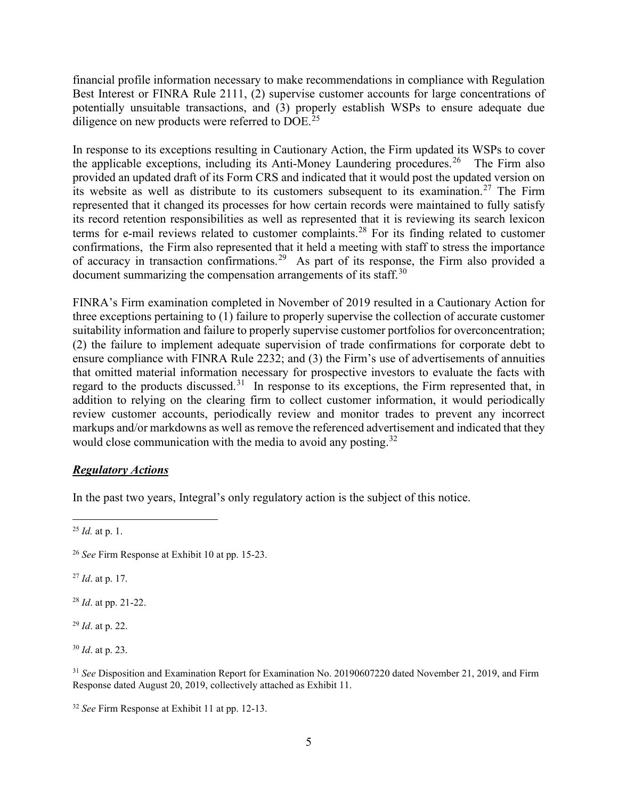financial profile information necessary to make recommendations in compliance with Regulation Best Interest or FINRA Rule 2111, (2) supervise customer accounts for large concentrations of potentially unsuitable transactions, and (3) properly establish WSPs to ensure adequate due diligence on new products were referred to DOE.<sup>25</sup>

In response to its exceptions resulting in Cautionary Action, the Firm updated its WSPs to cover the applicable exceptions, including its Anti-Money Laundering procedures.<sup>26</sup> The Firm also provided an updated draft of its Form CRS and indicated that it would post the updated version on its website as well as distribute to its customers subsequent to its examination. <sup>27</sup> The Firm represented that it changed its processes for how certain records were maintained to fully satisfy its record retention responsibilities as well as represented that it is reviewing its search lexicon terms for e-mail reviews related to customer complaints.<sup>28</sup> For its finding related to customer confirmations, the Firm also represented that it held a meeting with staff to stress the importance of accuracy in transaction confirmations.<sup>29</sup> As part of its response, the Firm also provided a document summarizing the compensation arrangements of its staff.<sup>30</sup>

FINRA's Firm examination completed in November of 2019 resulted in a Cautionary Action for three exceptions pertaining to (1) failure to properly supervise the collection of accurate customer suitability information and failure to properly supervise customer portfolios for overconcentration; (2) the failure to implement adequate supervision of trade confirmations for corporate debt to ensure compliance with FINRA Rule 2232; and (3) the Firm's use of advertisements of annuities that omitted material information necessary for prospective investors to evaluate the facts with regard to the products discussed.<sup>31</sup> In response to its exceptions, the Firm represented that, in addition to relying on the clearing firm to collect customer information, it would periodically review customer accounts, periodically review and monitor trades to prevent any incorrect markups and/or markdowns as well as remove the referenced advertisement and indicated that they would close communication with the media to avoid any posting.<sup>32</sup>

#### *Regulatory Actions*

In the past two years, Integral's only regulatory action is the subject of this notice.

<sup>27</sup> *Id*. at p. 17.

<sup>28</sup> *Id*. at pp. 21-22.

<sup>29</sup> *Id*. at p. 22.

<sup>30</sup> *Id*. at p. 23.

<sup>31</sup> *See* Disposition and Examination Report for Examination No. 20190607220 dated November 21, 2019, and Firm Response dated August 20, 2019, collectively attached as Exhibit 11.

<sup>25</sup> *Id.* at p. 1.

<sup>26</sup> *See* Firm Response at Exhibit 10 at pp. 15-23.

<sup>32</sup> *See* Firm Response at Exhibit 11 at pp. 12-13.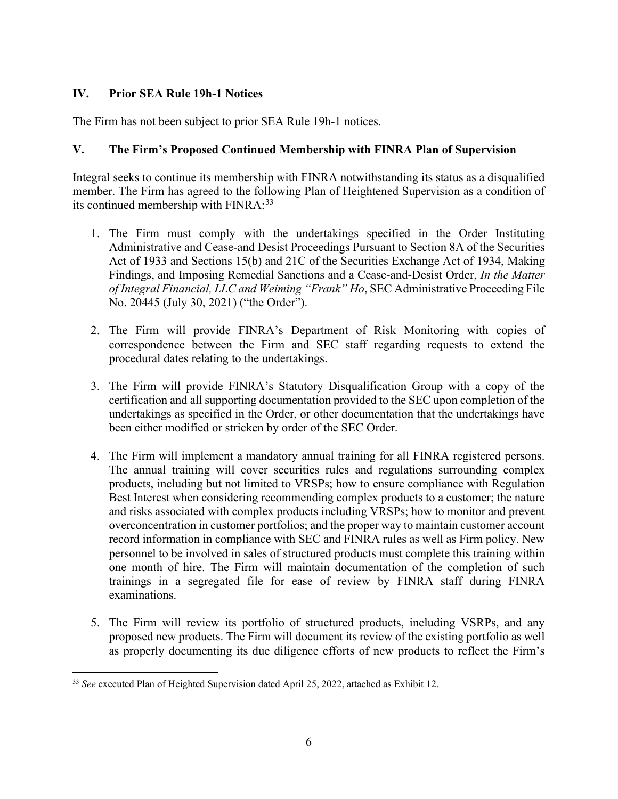# **IV. Prior SEA Rule 19h-1 Notices**

The Firm has not been subject to prior SEA Rule 19h-1 notices.

## **V. The Firm's Proposed Continued Membership with FINRA Plan of Supervision**

Integral seeks to continue its membership with FINRA notwithstanding its status as a disqualified member. The Firm has agreed to the following Plan of Heightened Supervision as a condition of its continued membership with FINRA:<sup>33</sup>

- 1. The Firm must comply with the undertakings specified in the Order Instituting Administrative and Cease-and Desist Proceedings Pursuant to Section 8A of the Securities Act of 1933 and Sections 15(b) and 21C of the Securities Exchange Act of 1934, Making Findings, and Imposing Remedial Sanctions and a Cease-and-Desist Order, *In the Matter of Integral Financial, LLC and Weiming "Frank" Ho*, SEC Administrative Proceeding File No. 20445 (July 30, 2021) ("the Order").
- 2. The Firm will provide FINRA's Department of Risk Monitoring with copies of correspondence between the Firm and SEC staff regarding requests to extend the procedural dates relating to the undertakings.
- 3. The Firm will provide FINRA's Statutory Disqualification Group with a copy of the certification and all supporting documentation provided to the SEC upon completion of the undertakings as specified in the Order, or other documentation that the undertakings have been either modified or stricken by order of the SEC Order.
- 4. The Firm will implement a mandatory annual training for all FINRA registered persons. The annual training will cover securities rules and regulations surrounding complex products, including but not limited to VRSPs; how to ensure compliance with Regulation Best Interest when considering recommending complex products to a customer; the nature and risks associated with complex products including VRSPs; how to monitor and prevent overconcentration in customer portfolios; and the proper way to maintain customer account record information in compliance with SEC and FINRA rules as well as Firm policy. New personnel to be involved in sales of structured products must complete this training within one month of hire. The Firm will maintain documentation of the completion of such trainings in a segregated file for ease of review by FINRA staff during FINRA examinations.
- 5. The Firm will review its portfolio of structured products, including VSRPs, and any proposed new products. The Firm will document its review of the existing portfolio as well as properly documenting its due diligence efforts of new products to reflect the Firm's

<sup>33</sup> *See* executed Plan of Heighted Supervision dated April 25, 2022, attached as Exhibit 12.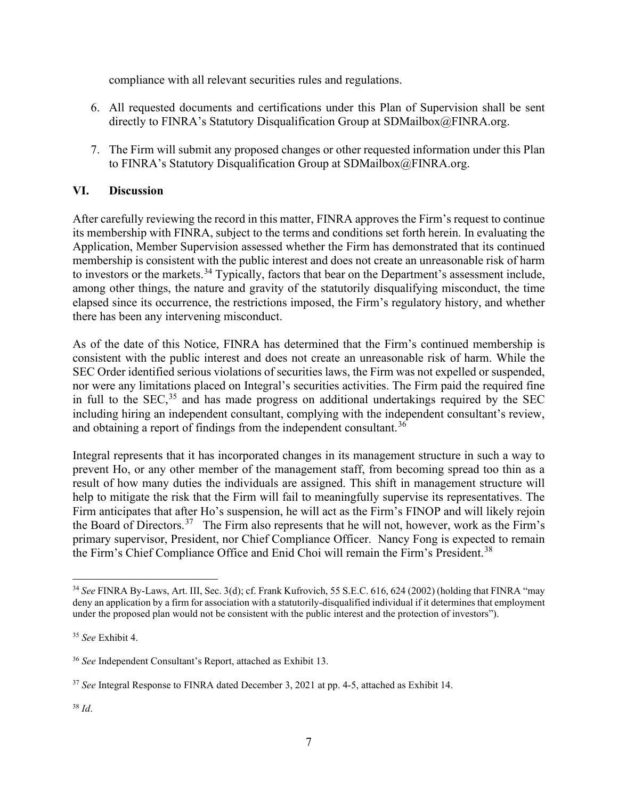compliance with all relevant securities rules and regulations.

- 6. All requested documents and certifications under this Plan of Supervision shall be sent directly to FINRA's Statutory Disqualification Group at SDMailbox@FINRA.org.
- 7. The Firm will submit any proposed changes or other requested information under this Plan to FINRA's Statutory Disqualification Group at SDMailbox@FINRA.org.

## **VI. Discussion**

After carefully reviewing the record in this matter, FINRA approves the Firm's request to continue its membership with FINRA, subject to the terms and conditions set forth herein. In evaluating the Application, Member Supervision assessed whether the Firm has demonstrated that its continued membership is consistent with the public interest and does not create an unreasonable risk of harm to investors or the markets.<sup>34</sup> Typically, factors that bear on the Department's assessment include, among other things, the nature and gravity of the statutorily disqualifying misconduct, the time elapsed since its occurrence, the restrictions imposed, the Firm's regulatory history, and whether there has been any intervening misconduct.

As of the date of this Notice, FINRA has determined that the Firm's continued membership is consistent with the public interest and does not create an unreasonable risk of harm. While the SEC Order identified serious violations of securities laws, the Firm was not expelled or suspended, nor were any limitations placed on Integral's securities activities. The Firm paid the required fine in full to the SEC,<sup>35</sup> and has made progress on additional undertakings required by the SEC including hiring an independent consultant, complying with the independent consultant's review, and obtaining a report of findings from the independent consultant.<sup>36</sup>

Integral represents that it has incorporated changes in its management structure in such a way to prevent Ho, or any other member of the management staff, from becoming spread too thin as a result of how many duties the individuals are assigned. This shift in management structure will help to mitigate the risk that the Firm will fail to meaningfully supervise its representatives. The Firm anticipates that after Ho's suspension, he will act as the Firm's FINOP and will likely rejoin the Board of Directors.37 The Firm also represents that he will not, however, work as the Firm's primary supervisor, President, nor Chief Compliance Officer. Nancy Fong is expected to remain the Firm's Chief Compliance Office and Enid Choi will remain the Firm's President.<sup>38</sup>

<sup>34</sup> *See* FINRA By-Laws, Art. III, Sec. 3(d); cf. Frank Kufrovich, 55 S.E.C. 616, 624 (2002) (holding that FINRA "may deny an application by a firm for association with a statutorily-disqualified individual if it determines that employment under the proposed plan would not be consistent with the public interest and the protection of investors").

<sup>35</sup> *See* Exhibit 4.

<sup>36</sup> *See* Independent Consultant's Report, attached as Exhibit 13.

<sup>37</sup> *See* Integral Response to FINRA dated December 3, 2021 at pp. 4-5, attached as Exhibit 14.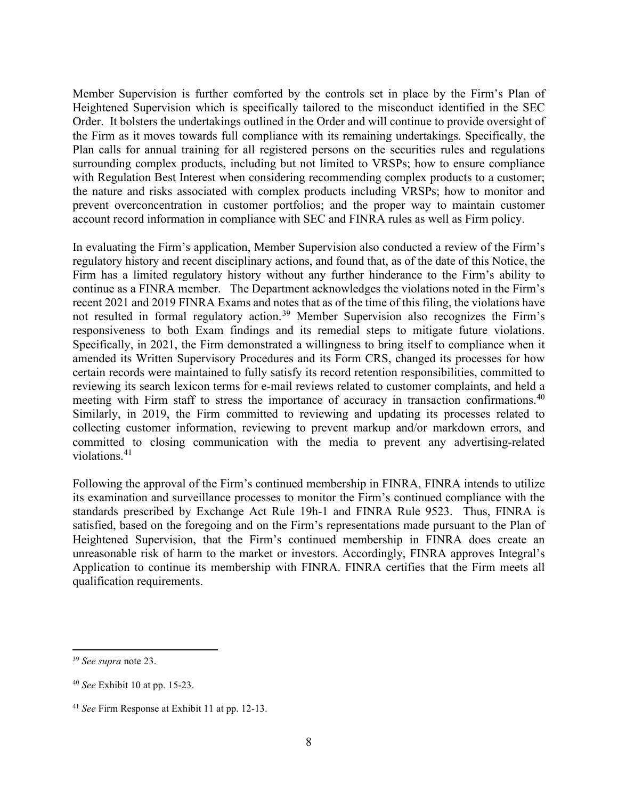Member Supervision is further comforted by the controls set in place by the Firm's Plan of Heightened Supervision which is specifically tailored to the misconduct identified in the SEC Order. It bolsters the undertakings outlined in the Order and will continue to provide oversight of the Firm as it moves towards full compliance with its remaining undertakings. Specifically, the Plan calls for annual training for all registered persons on the securities rules and regulations surrounding complex products, including but not limited to VRSPs; how to ensure compliance with Regulation Best Interest when considering recommending complex products to a customer; the nature and risks associated with complex products including VRSPs; how to monitor and prevent overconcentration in customer portfolios; and the proper way to maintain customer account record information in compliance with SEC and FINRA rules as well as Firm policy.

In evaluating the Firm's application, Member Supervision also conducted a review of the Firm's regulatory history and recent disciplinary actions, and found that, as of the date of this Notice, the Firm has a limited regulatory history without any further hinderance to the Firm's ability to continue as a FINRA member. The Department acknowledges the violations noted in the Firm's recent 2021 and 2019 FINRA Exams and notes that as of the time of this filing, the violations have not resulted in formal regulatory action.<sup>39</sup> Member Supervision also recognizes the Firm's responsiveness to both Exam findings and its remedial steps to mitigate future violations. Specifically, in 2021, the Firm demonstrated a willingness to bring itself to compliance when it amended its Written Supervisory Procedures and its Form CRS, changed its processes for how certain records were maintained to fully satisfy its record retention responsibilities, committed to reviewing its search lexicon terms for e-mail reviews related to customer complaints, and held a meeting with Firm staff to stress the importance of accuracy in transaction confirmations.<sup>40</sup> Similarly, in 2019, the Firm committed to reviewing and updating its processes related to collecting customer information, reviewing to prevent markup and/or markdown errors, and committed to closing communication with the media to prevent any advertising-related violations.<sup>41</sup>

Following the approval of the Firm's continued membership in FINRA, FINRA intends to utilize its examination and surveillance processes to monitor the Firm's continued compliance with the standards prescribed by Exchange Act Rule 19h-1 and FINRA Rule 9523. Thus, FINRA is satisfied, based on the foregoing and on the Firm's representations made pursuant to the Plan of Heightened Supervision, that the Firm's continued membership in FINRA does create an unreasonable risk of harm to the market or investors. Accordingly, FINRA approves Integral's Application to continue its membership with FINRA. FINRA certifies that the Firm meets all qualification requirements.

<sup>39</sup> *See supra* note 23.

<sup>40</sup> *See* Exhibit 10 at pp. 15-23.

<sup>41</sup> *See* Firm Response at Exhibit 11 at pp. 12-13.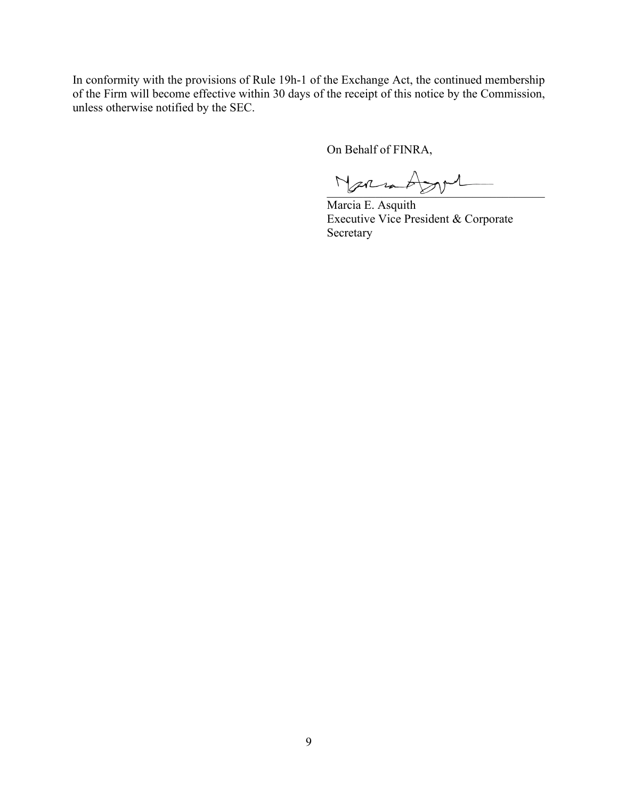In conformity with the provisions of Rule 19h-1 of the Exchange Act, the continued membership of the Firm will become effective within 30 days of the receipt of this notice by the Commission, unless otherwise notified by the SEC.

On Behalf of FINRA,

 $N$ armadyvi

Marcia E. Asquith Executive Vice President & Corporate Secretary